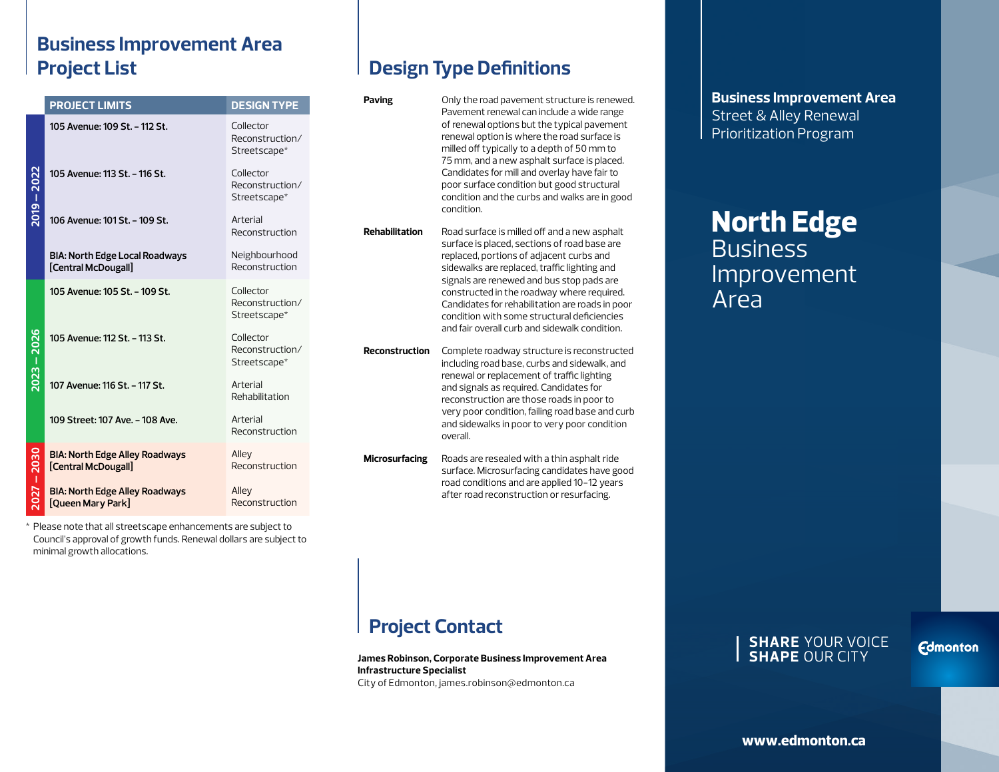### **Business Improvement Area Project List**

|  | <b>Design Type Definitions</b> |
|--|--------------------------------|
|--|--------------------------------|

|                  | <b>PROJECT LIMITS</b>                                        | <b>DESIGN TYPE</b>                           | Paving                | Only the road pavement structure is renewed.<br>Pavement renewal can include a wide range                                                                                                                                                                                                                                                                                                                                              |
|------------------|--------------------------------------------------------------|----------------------------------------------|-----------------------|----------------------------------------------------------------------------------------------------------------------------------------------------------------------------------------------------------------------------------------------------------------------------------------------------------------------------------------------------------------------------------------------------------------------------------------|
| 2022<br>$-6102$  | 105 Avenue: 109 St. - 112 St.                                | Collector<br>Reconstruction/<br>Streetscape* |                       | of renewal options but the typical pavement<br>renewal option is where the road surface is<br>milled off typically to a depth of 50 mm to<br>75 mm, and a new asphalt surface is placed.<br>Candidates for mill and overlay have fair to<br>poor surface condition but good structural<br>condition and the curbs and walks are in good<br>condition.                                                                                  |
|                  | 105 Avenue: 113 St. - 116 St.                                | Collector<br>Reconstruction/<br>Streetscape* |                       |                                                                                                                                                                                                                                                                                                                                                                                                                                        |
|                  | 106 Avenue: 101 St. - 109 St.                                | Arterial<br>Reconstruction                   | <b>Rehabilitation</b> | Road surface is milled off and a new asphalt<br>surface is placed, sections of road base are<br>replaced, portions of adjacent curbs and<br>sidewalks are replaced, traffic lighting and<br>signals are renewed and bus stop pads are<br>constructed in the roadway where required.<br>Candidates for rehabilitation are roads in poor<br>condition with some structural deficiencies<br>and fair overall curb and sidewalk condition. |
|                  | <b>BIA: North Edge Local Roadways</b><br>[Central McDougall] | Neighbourhood<br>Reconstruction              |                       |                                                                                                                                                                                                                                                                                                                                                                                                                                        |
| 2026<br>$2023 -$ | 105 Avenue: 105 St. - 109 St.                                | Collector<br>Reconstruction/<br>Streetscape* |                       |                                                                                                                                                                                                                                                                                                                                                                                                                                        |
|                  | 105 Avenue: 112 St. - 113 St.                                | Collector<br>Reconstruction/<br>Streetscape* | <b>Reconstruction</b> | Complete roadway structure is reconstructed<br>including road base, curbs and sidewalk, and<br>renewal or replacement of traffic lighting<br>and signals as required. Candidates for<br>reconstruction are those roads in poor to<br>very poor condition, failing road base and curb<br>and sidewalks in poor to very poor condition<br>overall.                                                                                       |
|                  | 107 Avenue: 116 St. - 117 St.                                | Arterial<br>Rehabilitation                   |                       |                                                                                                                                                                                                                                                                                                                                                                                                                                        |
|                  | 109 Street: 107 Ave. - 108 Ave.                              | Arterial<br>Reconstruction                   |                       |                                                                                                                                                                                                                                                                                                                                                                                                                                        |
| 2030<br>п        | <b>BIA: North Edge Alley Roadways</b><br>[Central McDougall] | Alley<br>Reconstruction                      | <b>Microsurfacing</b> | Roads are resealed with a thin asphalt ride<br>surface. Microsurfacing candidates have good                                                                                                                                                                                                                                                                                                                                            |
| 2027             | <b>BIA: North Edge Alley Roadways</b><br>[Queen Mary Park]   | Alley<br>Reconstruction                      |                       | road conditions and are applied 10-12 years<br>after road reconstruction or resurfacing.                                                                                                                                                                                                                                                                                                                                               |

\* Please note that all streetscape enhancements are subject to Council's approval of growth funds. Renewal dollars are subject to minimal growth allocations.

**Business Improvement Area** Street & Alley Renewal Prioritization Program

# **North Edge Business** Improvement Area

# **Project Contact**

**James Robinson, Corporate Business Improvement Area Infrastructure Specialist** City of Edmonton, james.robinson@edmonton.ca

#### **SHARE** YOUR VOICE **SHAPE** OUR CITY

**Fdmonton**